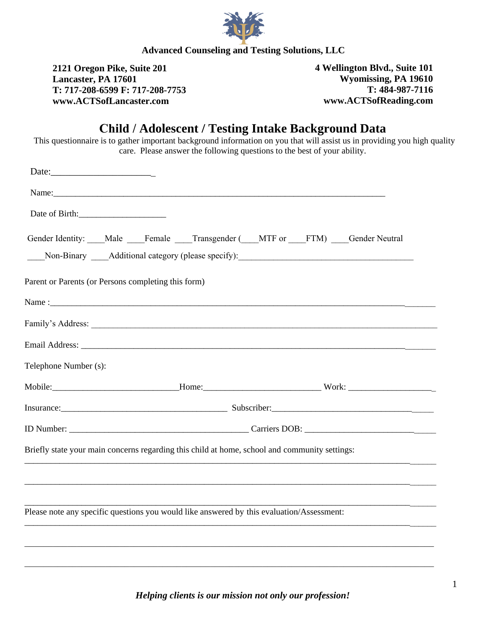

**2121 Oregon Pike, Suite 201 Lancaster, PA 17601 T: 717-208-6599 F: 717-208-7753 www.ACTSofLancaster.com** 

**4 Wellington Blvd., Suite 101 Wyomissing, PA 19610 T: 484-987-7116 www.ACTSofReading.com** 

# **Child / Adolescent / Testing Intake Background Data**

This questionnaire is to gather important background information on you that will assist us in providing you high quality care. Please answer the following questions to the best of your ability.

| Date:                                               |                                                                                                                |  |
|-----------------------------------------------------|----------------------------------------------------------------------------------------------------------------|--|
|                                                     | Name: 2008. [2016] Name: 2008. [2016] Name: 2008. [2016] Name: 2008. [2016] Name: 2008. [2016] Name: 2008. [20 |  |
| Date of Birth:                                      |                                                                                                                |  |
|                                                     | Gender Identity: Male Female Transgender (MTF or FTM) Gender Neutral                                           |  |
| Parent or Parents (or Persons completing this form) |                                                                                                                |  |
|                                                     |                                                                                                                |  |
|                                                     |                                                                                                                |  |
|                                                     |                                                                                                                |  |
| Telephone Number (s):                               |                                                                                                                |  |
|                                                     |                                                                                                                |  |
|                                                     |                                                                                                                |  |
|                                                     |                                                                                                                |  |
|                                                     | Briefly state your main concerns regarding this child at home, school and community settings:                  |  |
|                                                     |                                                                                                                |  |
|                                                     |                                                                                                                |  |
|                                                     | Please note any specific questions you would like answered by this evaluation/Assessment:                      |  |
|                                                     |                                                                                                                |  |
|                                                     |                                                                                                                |  |
|                                                     |                                                                                                                |  |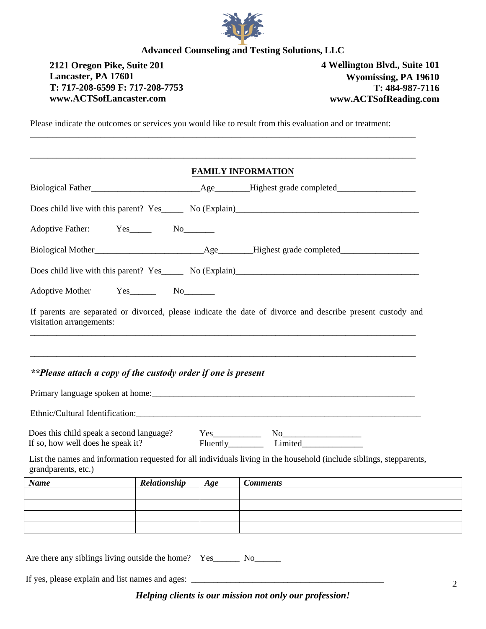

## **2121 Oregon Pike, Suite 201 4 Wellington Blvd., Suite 101 Lancaster, PA 17601 T: 717-208-6599 F: 717-208-7753 www.ACTSofLancaster.com**

**Wyomissing, PA 19610 T: 484-987-7116 www.ACTSofReading.com** 

2

Please indicate the outcomes or services you would like to result from this evaluation and or treatment:

\_\_\_\_\_\_\_\_\_\_\_\_\_\_\_\_\_\_\_\_\_\_\_\_\_\_\_\_\_\_\_\_\_\_\_\_\_\_\_\_\_\_\_\_\_\_\_\_\_\_\_\_\_\_\_\_\_\_\_\_\_\_\_\_\_\_\_\_\_\_\_\_\_\_\_\_\_\_\_\_\_\_\_\_\_\_\_\_

|                                                                                                                                                                                                                   |              |     | <b>FAMILY INFORMATION</b>                                                                                            |
|-------------------------------------------------------------------------------------------------------------------------------------------------------------------------------------------------------------------|--------------|-----|----------------------------------------------------------------------------------------------------------------------|
|                                                                                                                                                                                                                   |              |     | Biological Father Age Highest grade completed                                                                        |
|                                                                                                                                                                                                                   |              |     |                                                                                                                      |
|                                                                                                                                                                                                                   |              |     |                                                                                                                      |
|                                                                                                                                                                                                                   |              |     |                                                                                                                      |
|                                                                                                                                                                                                                   |              |     | Does child live with this parent? Yes No (Explain) No. (Explain)                                                     |
| Adoptive Mother Yes________ No________                                                                                                                                                                            |              |     |                                                                                                                      |
|                                                                                                                                                                                                                   |              |     |                                                                                                                      |
|                                                                                                                                                                                                                   |              |     |                                                                                                                      |
|                                                                                                                                                                                                                   |              |     |                                                                                                                      |
|                                                                                                                                                                                                                   |              |     |                                                                                                                      |
| **Please attach a copy of the custody order if one is present                                                                                                                                                     |              |     | List the names and information requested for all individuals living in the household (include siblings, stepparents, |
|                                                                                                                                                                                                                   | Relationship | Age | <b>Comments</b>                                                                                                      |
|                                                                                                                                                                                                                   |              |     |                                                                                                                      |
| If parents are separated or divorced, please indicate the date of divorce and describe present custody and<br>visitation arrangements:<br>If so, how well does he speak it?<br>grandparents, etc.)<br><b>Name</b> |              |     |                                                                                                                      |

If yes, please explain and list names and ages: \_\_\_\_\_\_\_\_\_\_\_\_\_\_\_\_\_\_\_\_\_\_\_\_\_\_\_\_\_\_\_\_\_

*Helping clients is our mission not only our profession!*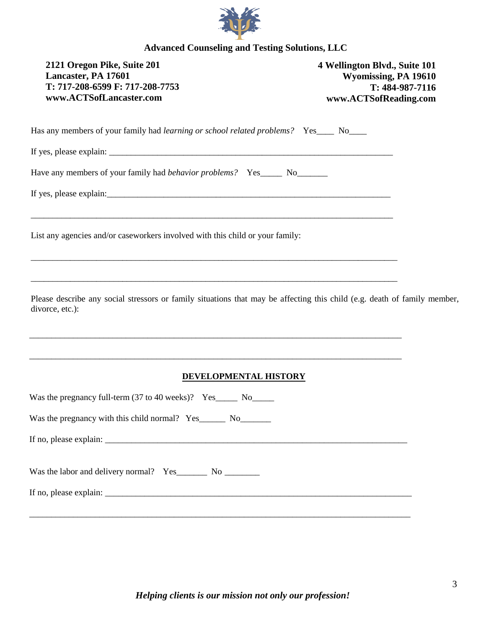

| 2121 Oregon Pike, Suite 201<br>Lancaster, PA 17601<br>T: 717-208-6599 F: 717-208-7753<br>www.ACTSofLancaster.com                                                                                                                                                     | 4 Wellington Blvd., Suite 101<br>Wyomissing, PA 19610<br>T: 484-987-7116<br>www.ACTSofReading.com |
|----------------------------------------------------------------------------------------------------------------------------------------------------------------------------------------------------------------------------------------------------------------------|---------------------------------------------------------------------------------------------------|
| Has any members of your family had learning or school related problems? Yes____ No____                                                                                                                                                                               |                                                                                                   |
|                                                                                                                                                                                                                                                                      |                                                                                                   |
| Have any members of your family had behavior problems? Yes______ No________                                                                                                                                                                                          |                                                                                                   |
| List any agencies and/or caseworkers involved with this child or your family:                                                                                                                                                                                        |                                                                                                   |
| Please describe any social stressors or family situations that may be affecting this child (e.g. death of family member,<br>divorce, etc.):<br><u> 1989 - Johann Stoff, deutscher Stoff, der Stoff, der Stoff, der Stoff, der Stoff, der Stoff, der Stoff, der S</u> |                                                                                                   |
| DEVELOPMENTAL HISTORY                                                                                                                                                                                                                                                |                                                                                                   |
| Was the pregnancy full-term $(37 \text{ to } 40 \text{ weeks})$ ? Yes______ No______                                                                                                                                                                                 |                                                                                                   |
| Was the pregnancy with this child normal? Yes______ No_______                                                                                                                                                                                                        |                                                                                                   |
|                                                                                                                                                                                                                                                                      |                                                                                                   |
| Was the labor and delivery normal? Yes__________ No __________                                                                                                                                                                                                       |                                                                                                   |
|                                                                                                                                                                                                                                                                      |                                                                                                   |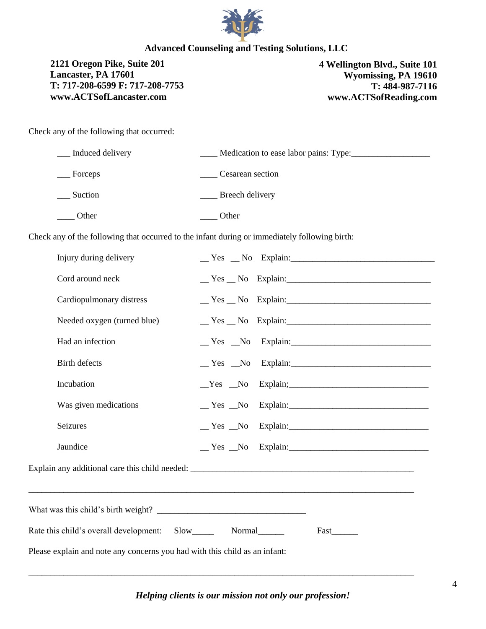

**2121 Oregon Pike, Suite 201 Lancaster, PA 17601 T: 717-208-6599 F: 717-208-7753 www.ACTSofLancaster.com** 

**4 Wellington Blvd., Suite 101 Wyomissing, PA 19610 T: 484-987-7116 www.ACTSofReading.com** 

Check any of the following that occurred:

| Induced delivery | Medication to ease labor pains: Type: |  |
|------------------|---------------------------------------|--|
| Forceps          | Cesarean section                      |  |
| Suction          | Breech delivery                       |  |
| Other            | Other                                 |  |

Check any of the following that occurred to the infant during or immediately following birth:

| Injury during delivery                                                     |                                            |  |
|----------------------------------------------------------------------------|--------------------------------------------|--|
| Cord around neck                                                           | $Y$ es $N$ o Explain:                      |  |
| Cardiopulmonary distress                                                   | $Yes$ No Explain:                          |  |
| Needed oxygen (turned blue)                                                | $Yes$ No Explain:                          |  |
| Had an infection                                                           | $\text{Yes}$ No Explain:                   |  |
| <b>Birth defects</b>                                                       |                                            |  |
| Incubation                                                                 | Yes No Explain;                            |  |
| Was given medications                                                      | $Y$ es $N$ o Explain:                      |  |
| Seizures                                                                   |                                            |  |
| Jaundice                                                                   | $\text{Yes } \_\text{No } \text{Explain:}$ |  |
|                                                                            |                                            |  |
|                                                                            |                                            |  |
| Rate this child's overall development: Slow_________ Normal_______         | Fast                                       |  |
| Please explain and note any concerns you had with this child as an infant: |                                            |  |

\_\_\_\_\_\_\_\_\_\_\_\_\_\_\_\_\_\_\_\_\_\_\_\_\_\_\_\_\_\_\_\_\_\_\_\_\_\_\_\_\_\_\_\_\_\_\_\_\_\_\_\_\_\_\_\_\_\_\_\_\_\_\_\_\_\_\_\_\_\_\_\_\_\_\_\_\_\_\_\_\_\_\_\_\_\_\_\_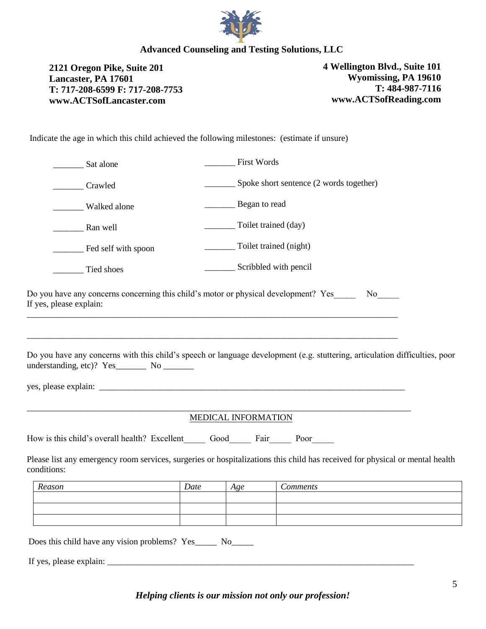

**2121 Oregon Pike, Suite 201 Lancaster, PA 17601 T: 717-208-6599 F: 717-208-7753 www.ACTSofLancaster.com** 

**4 Wellington Blvd., Suite 101 Wyomissing, PA 19610 T: 484-987-7116 www.ACTSofReading.com** 

Indicate the age in which this child achieved the following milestones: (estimate if unsure)

| Sat alone                                                                                                                                                                                    |      | First Words            |                                                 |  |
|----------------------------------------------------------------------------------------------------------------------------------------------------------------------------------------------|------|------------------------|-------------------------------------------------|--|
| Crawled                                                                                                                                                                                      |      |                        | _______ Spoke short sentence (2 words together) |  |
| Walked alone                                                                                                                                                                                 |      | Began to read          |                                                 |  |
| Ran well                                                                                                                                                                                     |      | Toilet trained (day)   |                                                 |  |
| Fed self with spoon                                                                                                                                                                          |      | Toilet trained (night) |                                                 |  |
| Tied shoes                                                                                                                                                                                   |      | Scribbled with pencil  |                                                 |  |
| Do you have any concerns concerning this child's motor or physical development? Yes<br>If yes, please explain:                                                                               |      |                        |                                                 |  |
| Do you have any concerns with this child's speech or language development (e.g. stuttering, articulation difficulties, poor<br>understanding, etc)? Yes__________ No _________               |      |                        |                                                 |  |
|                                                                                                                                                                                              |      | MEDICAL INFORMATION    |                                                 |  |
| How is this child's overall health? Excellent Good Fair Poor<br>Please list any emergency room services, surgeries or hospitalizations this child has received for physical or mental health |      |                        |                                                 |  |
| conditions:                                                                                                                                                                                  |      |                        |                                                 |  |
| Reason                                                                                                                                                                                       | Date | Age                    | <b>Comments</b>                                 |  |
|                                                                                                                                                                                              |      |                        |                                                 |  |
| Does this child have any vision problems? Yes_______ No______                                                                                                                                |      |                        |                                                 |  |
| If yes, please explain:                                                                                                                                                                      |      |                        |                                                 |  |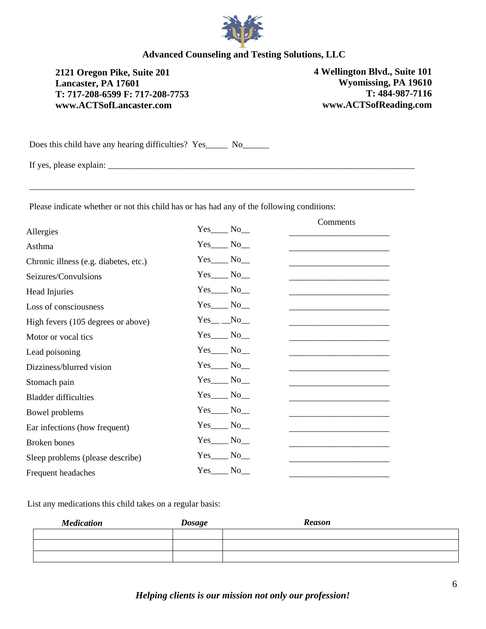

**2121 Oregon Pike, Suite 201 Lancaster, PA 17601 T: 717-208-6599 F: 717-208-7753 www.ACTSofLancaster.com** 

**4 Wellington Blvd., Suite 101 Wyomissing, PA 19610 T: 484-987-7116 www.ACTSofReading.com** 

Does this child have any hearing difficulties? Yes\_\_\_\_\_\_ No\_\_\_\_\_\_\_

If yes, please explain:  $\frac{1}{2}$  =  $\frac{1}{2}$  =  $\frac{1}{2}$  =  $\frac{1}{2}$  =  $\frac{1}{2}$  =  $\frac{1}{2}$  =  $\frac{1}{2}$  =  $\frac{1}{2}$  =  $\frac{1}{2}$  =  $\frac{1}{2}$  =  $\frac{1}{2}$  =  $\frac{1}{2}$  =  $\frac{1}{2}$  =  $\frac{1}{2}$  =  $\frac{1}{2}$  =  $\frac{1}{2}$  =  $\frac{1$ 

Please indicate whether or not this child has or has had any of the following conditions:

|                                       |                 | Comments |
|---------------------------------------|-----------------|----------|
| Allergies                             | $Yes$ No        |          |
| Asthma                                | $Yes$ No $\_\_$ |          |
| Chronic illness (e.g. diabetes, etc.) | $Yes$ No $\_\$  |          |
| Seizures/Convulsions                  | $Yes$ No        |          |
| Head Injuries                         | $Yes$ No_       |          |
| Loss of consciousness                 | $Yes$ No_       |          |
| High fevers (105 degrees or above)    | $Yes$ No        |          |
| Motor or vocal tics                   | $Yes$ No $\_\$  |          |
| Lead poisoning                        | $Yes$ No $\_\_$ |          |
| Dizziness/blurred vision              | $Yes$ No_       |          |
| Stomach pain                          | $Yes$ No_       |          |
| <b>Bladder difficulties</b>           | $Yes$ No $\_\_$ |          |
| Bowel problems                        | $Yes$ No        |          |
| Ear infections (how frequent)         | $Yes$ No_       |          |
| Broken bones                          | Yes No          |          |
| Sleep problems (please describe)      | $Yes$ No $\_\$  |          |
| Frequent headaches                    | $Yes$ No        |          |

List any medications this child takes on a regular basis:

| <b>Medication</b> | <b>Dosage</b> | <b>Reason</b> |
|-------------------|---------------|---------------|
|                   |               |               |
|                   |               |               |
|                   |               |               |

*Helping clients is our mission not only our profession!*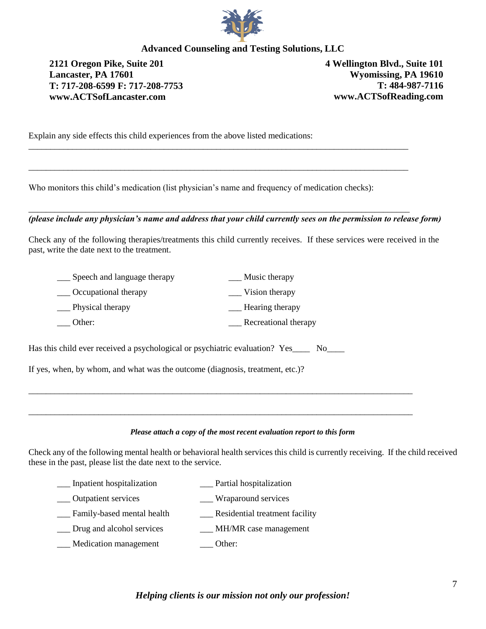

**2121 Oregon Pike, Suite 201 Lancaster, PA 17601 T: 717-208-6599 F: 717-208-7753 www.ACTSofLancaster.com** 

**4 Wellington Blvd., Suite 101 Wyomissing, PA 19610 T: 484-987-7116 www.ACTSofReading.com** 

Explain any side effects this child experiences from the above listed medications:

Who monitors this child's medication (list physician's name and frequency of medication checks):

\_\_\_\_\_\_\_\_\_\_\_\_\_\_\_\_\_\_\_\_\_\_\_\_\_\_\_\_\_\_\_\_\_\_\_\_\_\_\_\_\_\_\_\_\_\_\_\_\_\_\_\_\_\_\_\_\_\_\_\_\_\_\_\_\_\_\_\_\_\_\_\_\_\_\_\_\_\_\_\_\_\_\_\_\_\_\_

\_\_\_\_\_\_\_\_\_\_\_\_\_\_\_\_\_\_\_\_\_\_\_\_\_\_\_\_\_\_\_\_\_\_\_\_\_\_\_\_\_\_\_\_\_\_\_\_\_\_\_\_\_\_\_\_\_\_\_\_\_\_\_\_\_\_\_\_\_\_\_\_\_\_\_\_\_\_\_\_\_\_\_\_\_\_\_

\_\_\_\_\_\_\_\_\_\_\_\_\_\_\_\_\_\_\_\_\_\_\_\_\_\_\_\_\_\_\_\_\_\_\_\_\_\_\_\_\_\_\_\_\_\_\_\_\_\_\_\_\_\_\_\_\_\_\_\_\_\_\_\_\_\_\_\_\_\_\_\_\_\_\_\_\_\_\_\_\_\_\_\_\_\_\_

*(please include any physician's name and address that your child currently sees on the permission to release form)*

Check any of the following therapies/treatments this child currently receives. If these services were received in the past, write the date next to the treatment.

| Speech and language therapy | Music therapy        |
|-----------------------------|----------------------|
| Occupational therapy        | Vision therapy       |
| Physical therapy            | Hearing therapy      |
| Other:                      | Recreational therapy |

Has this child ever received a psychological or psychiatric evaluation? Yes\_\_\_\_ No\_\_\_\_

If yes, when, by whom, and what was the outcome (diagnosis, treatment, etc.)?

#### *Please attach a copy of the most recent evaluation report to this form*

\_\_\_\_\_\_\_\_\_\_\_\_\_\_\_\_\_\_\_\_\_\_\_\_\_\_\_\_\_\_\_\_\_\_\_\_\_\_\_\_\_\_\_\_\_\_\_\_\_\_\_\_\_\_\_\_\_\_\_\_\_\_\_\_\_\_\_\_\_\_\_\_\_\_\_\_\_\_\_\_\_\_\_\_\_\_\_\_

\_\_\_\_\_\_\_\_\_\_\_\_\_\_\_\_\_\_\_\_\_\_\_\_\_\_\_\_\_\_\_\_\_\_\_\_\_\_\_\_\_\_\_\_\_\_\_\_\_\_\_\_\_\_\_\_\_\_\_\_\_\_\_\_\_\_\_\_\_\_\_\_\_\_\_\_\_\_\_\_\_\_\_\_\_\_\_\_

Check any of the following mental health or behavioral health services this child is currently receiving. If the child received these in the past, please list the date next to the service.

- \_\_\_ Inpatient hospitalization \_\_\_ Partial hospitalization
- \_\_\_ Outpatient services \_\_\_ Wraparound services
- \_\_\_ Family-based mental health \_\_\_ Residential treatment facility
- Drug and alcohol services MH/MR case management
- \_\_\_ Medication management \_\_\_ Other: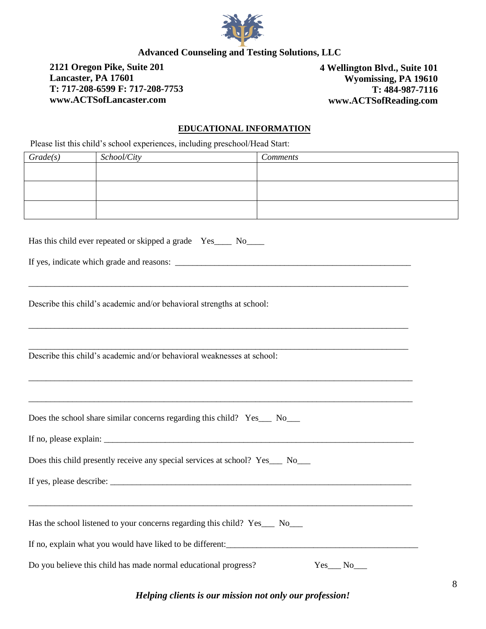

**2121 Oregon Pike, Suite 201 Lancaster, PA 17601 T: 717-208-6599 F: 717-208-7753 www.ACTSofLancaster.com** 

**4 Wellington Blvd., Suite 101 Wyomissing, PA 19610 T: 484-987-7116 www.ACTSofReading.com** 

#### **EDUCATIONAL INFORMATION**

Please list this child's school experiences, including preschool/Head Start:

| Grade(s) | School/City | <b>Comments</b> |
|----------|-------------|-----------------|
|          |             |                 |
|          |             |                 |
|          |             |                 |
|          |             |                 |
|          |             |                 |
|          |             |                 |

\_\_\_\_\_\_\_\_\_\_\_\_\_\_\_\_\_\_\_\_\_\_\_\_\_\_\_\_\_\_\_\_\_\_\_\_\_\_\_\_\_\_\_\_\_\_\_\_\_\_\_\_\_\_\_\_\_\_\_\_\_\_\_\_\_\_\_\_\_\_\_\_\_\_\_\_\_\_\_\_\_\_\_\_\_\_\_

\_\_\_\_\_\_\_\_\_\_\_\_\_\_\_\_\_\_\_\_\_\_\_\_\_\_\_\_\_\_\_\_\_\_\_\_\_\_\_\_\_\_\_\_\_\_\_\_\_\_\_\_\_\_\_\_\_\_\_\_\_\_\_\_\_\_\_\_\_\_\_\_\_\_\_\_\_\_\_\_\_\_\_\_\_\_\_

\_\_\_\_\_\_\_\_\_\_\_\_\_\_\_\_\_\_\_\_\_\_\_\_\_\_\_\_\_\_\_\_\_\_\_\_\_\_\_\_\_\_\_\_\_\_\_\_\_\_\_\_\_\_\_\_\_\_\_\_\_\_\_\_\_\_\_\_\_\_\_\_\_\_\_\_\_\_\_\_\_\_\_\_\_\_\_

\_\_\_\_\_\_\_\_\_\_\_\_\_\_\_\_\_\_\_\_\_\_\_\_\_\_\_\_\_\_\_\_\_\_\_\_\_\_\_\_\_\_\_\_\_\_\_\_\_\_\_\_\_\_\_\_\_\_\_\_\_\_\_\_\_\_\_\_\_\_\_\_\_\_\_\_\_\_\_\_\_\_\_\_\_\_\_\_

\_\_\_\_\_\_\_\_\_\_\_\_\_\_\_\_\_\_\_\_\_\_\_\_\_\_\_\_\_\_\_\_\_\_\_\_\_\_\_\_\_\_\_\_\_\_\_\_\_\_\_\_\_\_\_\_\_\_\_\_\_\_\_\_\_\_\_\_\_\_\_\_\_\_\_\_\_\_\_\_\_\_\_\_\_\_\_\_

\_\_\_\_\_\_\_\_\_\_\_\_\_\_\_\_\_\_\_\_\_\_\_\_\_\_\_\_\_\_\_\_\_\_\_\_\_\_\_\_\_\_\_\_\_\_\_\_\_\_\_\_\_\_\_\_\_\_\_\_\_\_\_\_\_\_\_\_\_\_\_\_\_\_\_\_\_\_\_\_\_\_\_\_\_\_\_\_

If no, please explain:  $\Box$ 

Has this child ever repeated or skipped a grade Yes No

If yes, indicate which grade and reasons: \_\_\_\_\_\_\_\_\_\_\_\_\_\_\_\_\_\_\_\_\_\_\_\_\_\_\_\_\_\_\_\_\_\_\_\_\_\_\_\_\_\_\_\_\_\_\_\_\_\_\_\_\_\_

Describe this child's academic and/or behavioral strengths at school:

Describe this child's academic and/or behavioral weaknesses at school:

| Does the school share similar concerns regarding this child? Yes___ No___ |  |  |
|---------------------------------------------------------------------------|--|--|
|                                                                           |  |  |

Does this child presently receive any special services at school? Yes No

If yes, please describe: \_\_\_\_\_\_\_\_\_\_\_\_\_\_\_\_\_\_\_\_\_\_\_\_\_\_\_\_\_\_\_\_\_\_\_\_\_\_\_\_\_\_\_\_\_\_\_\_\_\_\_\_\_\_\_\_\_\_\_\_\_\_\_\_\_\_\_\_\_

Has the school listened to your concerns regarding this child? Yes\_\_\_ No\_\_\_

If no, explain what you would have liked to be different:

Do you believe this child has made normal educational progress? Yes No

*Helping clients is our mission not only our profession!*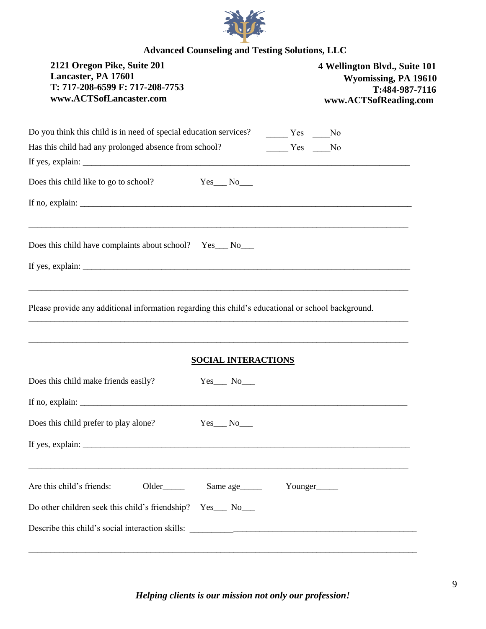

| 2121 Oregon Pike, Suite 201<br>Lancaster, PA 17601<br>T: 717-208-6599 F: 717-208-7753<br>www.ACTSofLancaster.com                                                                                                                                                                                                                                                                                     |         | 4 Wellington Blvd., Suite 101<br>Wyomissing, PA 19610<br>T:484-987-7116<br>www.ACTSofReading.com |
|------------------------------------------------------------------------------------------------------------------------------------------------------------------------------------------------------------------------------------------------------------------------------------------------------------------------------------------------------------------------------------------------------|---------|--------------------------------------------------------------------------------------------------|
|                                                                                                                                                                                                                                                                                                                                                                                                      |         |                                                                                                  |
| Has this child had any prolonged absence from school?                                                                                                                                                                                                                                                                                                                                                | Yes No  |                                                                                                  |
| Does this child like to go to school?<br>$Yes$ No $No$                                                                                                                                                                                                                                                                                                                                               |         |                                                                                                  |
|                                                                                                                                                                                                                                                                                                                                                                                                      |         |                                                                                                  |
| Does this child have complaints about school? Yes_ No_                                                                                                                                                                                                                                                                                                                                               |         |                                                                                                  |
| If yes, explain: $\frac{1}{\sqrt{1-\frac{1}{2}}\sqrt{1-\frac{1}{2}}\sqrt{1-\frac{1}{2}}\sqrt{1-\frac{1}{2}}\sqrt{1-\frac{1}{2}}\sqrt{1-\frac{1}{2}}\sqrt{1-\frac{1}{2}}\sqrt{1-\frac{1}{2}}\sqrt{1-\frac{1}{2}}\sqrt{1-\frac{1}{2}}\sqrt{1-\frac{1}{2}}\sqrt{1-\frac{1}{2}}\sqrt{1-\frac{1}{2}}\sqrt{1-\frac{1}{2}}\sqrt{1-\frac{1}{2}}\sqrt{1-\frac{1}{2}}\sqrt{1-\frac{1}{2}}\sqrt{1-\frac{1}{2}}$ |         |                                                                                                  |
| Please provide any additional information regarding this child's educational or school background.<br><b>SOCIAL INTERACTIONS</b>                                                                                                                                                                                                                                                                     |         |                                                                                                  |
| Does this child make friends easily?<br>$Yes$ No $\_\_$                                                                                                                                                                                                                                                                                                                                              |         |                                                                                                  |
|                                                                                                                                                                                                                                                                                                                                                                                                      |         |                                                                                                  |
| Does this child prefer to play alone?<br>$Yes$ No $\_\_$                                                                                                                                                                                                                                                                                                                                             |         |                                                                                                  |
| If yes, explain: $\frac{1}{2}$ = $\frac{1}{2}$ = $\frac{1}{2}$ = $\frac{1}{2}$ = $\frac{1}{2}$ = $\frac{1}{2}$ = $\frac{1}{2}$ = $\frac{1}{2}$ = $\frac{1}{2}$ = $\frac{1}{2}$ = $\frac{1}{2}$ = $\frac{1}{2}$ = $\frac{1}{2}$ = $\frac{1}{2}$ = $\frac{1}{2}$ = $\frac{1}{2}$ = $\frac{1}{2}$ =                                                                                                     |         |                                                                                                  |
| Are this child's friends:<br>Older <sub>_____</sub> Same age_____                                                                                                                                                                                                                                                                                                                                    | Younger |                                                                                                  |
| Do other children seek this child's friendship? Yes__ No__                                                                                                                                                                                                                                                                                                                                           |         |                                                                                                  |
|                                                                                                                                                                                                                                                                                                                                                                                                      |         |                                                                                                  |
|                                                                                                                                                                                                                                                                                                                                                                                                      |         |                                                                                                  |